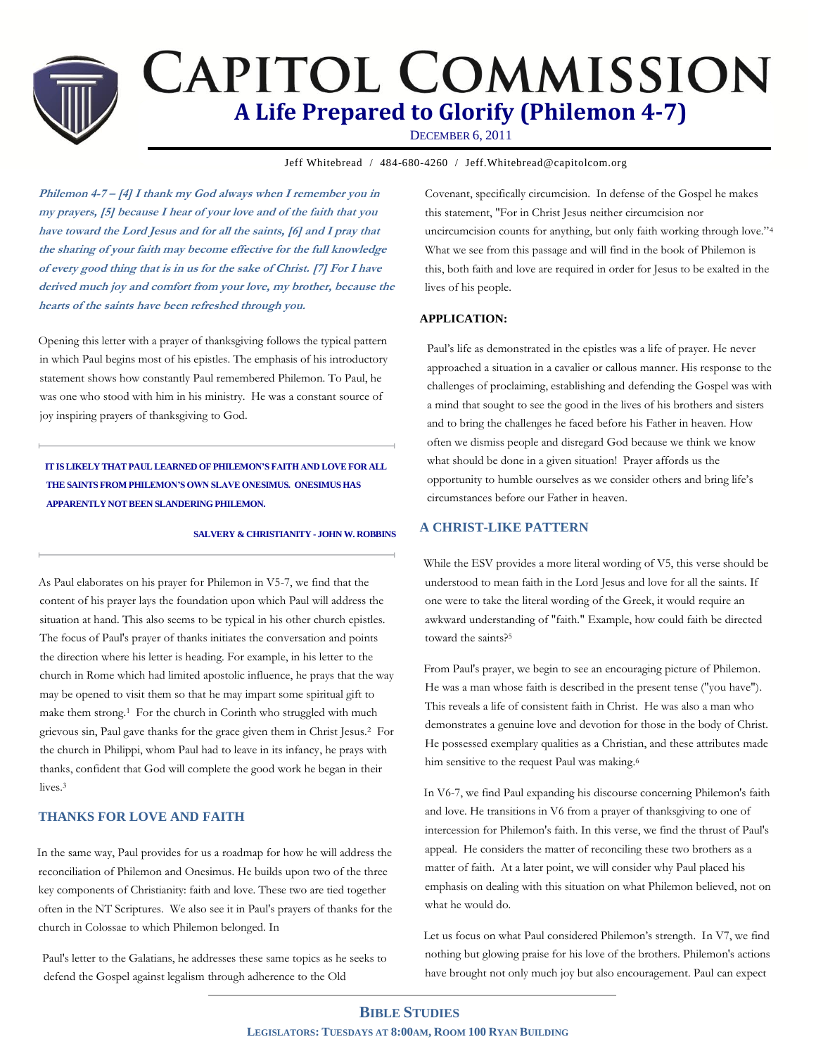# **CAPITOL COMMISSION A Life Prepared to Glorify (Philemon 4-7)**

DECEMBER 6, 2011

Jeff Whitebread / 484-680-4260 / Jeff.Whitebread@capitolcom.org

**Philemon 4-7 – [4] I thank my God always when I remember you in my prayers, [5] because I hear of your love and of the faith that you have toward the Lord Jesus and for all the saints, [6] and I pray that the sharing of your faith may become effective for the full knowledge of every good thing that is in us for the sake of Christ. [7] For I have derived much joy and comfort from your love, my brother, because the hearts of the saints have been refreshed through you.** 

Opening this letter with a prayer of thanksgiving follows the typical pattern in which Paul begins most of his epistles. The emphasis of his introductory statement shows how constantly Paul remembered Philemon. To Paul, he was one who stood with him in his ministry. He was a constant source of joy inspiring prayers of thanksgiving to God.

**IT IS LIKELY THAT PAUL LEARNED OF PHILEMON'S FAITH AND LOVE FOR ALL THE SAINTS FROM PHILEMON'S OWN SLAVE ONESIMUS. ONESIMUS HAS APPARENTLY NOT BEEN SLANDERING PHILEMON.**

#### **SALVERY & CHRISTIANITY - JOHN W. ROBBINS**

As Paul elaborates on his prayer for Philemon in V5-7, we find that the content of his prayer lays the foundation upon which Paul will address the situation at hand. This also seems to be typical in his other church epistles. The focus of Paul's prayer of thanks initiates the conversation and points the direction where his letter is heading. For example, in his letter to the church in Rome which had limited apostolic influence, he prays that the way may be opened to visit them so that he may impart some spiritual gift to make them strong.1 For the church in Corinth who struggled with much grievous sin, Paul gave thanks for the grace given them in Christ Jesus.2 For the church in Philippi, whom Paul had to leave in its infancy, he prays with thanks, confident that God will complete the good work he began in their lives.<sup>3</sup>

## **THANKS FOR LOVE AND FAITH**

In the same way, Paul provides for us a roadmap for how he will address the reconciliation of Philemon and Onesimus. He builds upon two of the three key components of Christianity: faith and love. These two are tied together often in the NT Scriptures. We also see it in Paul's prayers of thanks for the church in Colossae to which Philemon belonged. In

Paul's letter to the Galatians, he addresses these same topics as he seeks to defend the Gospel against legalism through adherence to the Old

Covenant, specifically circumcision. In defense of the Gospel he makes this statement, "For in Christ Jesus neither circumcision nor uncircumcision counts for anything, but only faith working through love."<sup>4</sup> What we see from this passage and will find in the book of Philemon is this, both faith and love are required in order for Jesus to be exalted in the lives of his people.

## **APPLICATION:**

Paul's life as demonstrated in the epistles was a life of prayer. He never approached a situation in a cavalier or callous manner. His response to the challenges of proclaiming, establishing and defending the Gospel was with a mind that sought to see the good in the lives of his brothers and sisters and to bring the challenges he faced before his Father in heaven. How often we dismiss people and disregard God because we think we know what should be done in a given situation! Prayer affords us the opportunity to humble ourselves as we consider others and bring life's circumstances before our Father in heaven.

## **A CHRIST-LIKE PATTERN**

While the ESV provides a more literal wording of V5, this verse should be understood to mean faith in the Lord Jesus and love for all the saints. If one were to take the literal wording of the Greek, it would require an awkward understanding of "faith." Example, how could faith be directed toward the saints?<sup>5</sup>

From Paul's prayer, we begin to see an encouraging picture of Philemon. He was a man whose faith is described in the present tense ("you have"). This reveals a life of consistent faith in Christ. He was also a man who demonstrates a genuine love and devotion for those in the body of Christ. He possessed exemplary qualities as a Christian, and these attributes made him sensitive to the request Paul was making.<sup>6</sup>

In V6-7, we find Paul expanding his discourse concerning Philemon's faith and love. He transitions in V6 from a prayer of thanksgiving to one of intercession for Philemon's faith. In this verse, we find the thrust of Paul's appeal. He considers the matter of reconciling these two brothers as a matter of faith. At a later point, we will consider why Paul placed his emphasis on dealing with this situation on what Philemon believed, not on what he would do.

Let us focus on what Paul considered Philemon's strength. In V7, we find nothing but glowing praise for his love of the brothers. Philemon's actions have brought not only much joy but also encouragement. Paul can expect